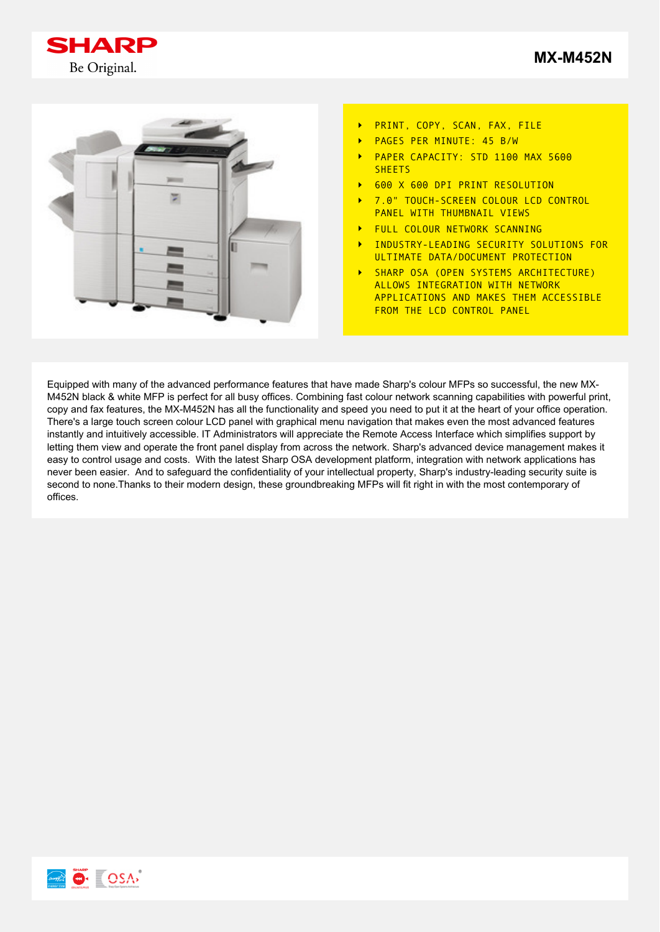





- PRINT, COPY, SCAN, FAX, FILE  $\ddot{\phantom{1}}$
- PAGES PER MINUTE: 45 B/W  $\ddot{\phantom{1}}$
- PAPER CAPACITY: STD 1100 MAX 5600  $\ddot{\phantom{1}}$ SHEETS
- 600 X 600 DPI PRINT RESOLUTION
- 7.0" TOUCH-SCREEN COLOUR LCD CONTROL  $\ddot{\phantom{1}}$ PANEL WITH THUMBNAIL VIEWS
- FULL COLOUR NETWORK SCANNING
- $\ddot{\phantom{1}}$ INDUSTRY-LEADING SECURITY SOLUTIONS FOR ULTIMATE DATA/DOCUMENT PROTECTION
- SHARP OSA (OPEN SYSTEMS ARCHITECTURE)  $\ddot{\phantom{1}}$ ALLOWS INTEGRATION WITH NETWORK APPLICATIONS AND MAKES THEM ACCESSIBLE FROM THE LCD CONTROL PANEL

Equipped with many of the advanced performance features that have made Sharp's colour MFPs so successful, the new MX-M452N black & white MFP is perfect for all busy offices. Combining fast colour network scanning capabilities with powerful print, copy and fax features, the MX-M452N has all the functionality and speed you need to put it at the heart of your office operation. There's a large touch screen colour LCD panel with graphical menu navigation that makes even the most advanced features instantly and intuitively accessible. IT Administrators will appreciate the Remote Access Interface which simplifies support by letting them view and operate the front panel display from across the network. Sharp's advanced device management makes it easy to control usage and costs. With the latest Sharp OSA development platform, integration with network applications has never been easier. And to safeguard the confidentiality of your intellectual property, Sharp's industry-leading security suite is second to none.Thanks to their modern design, these groundbreaking MFPs will fit right in with the most contemporary of offices.